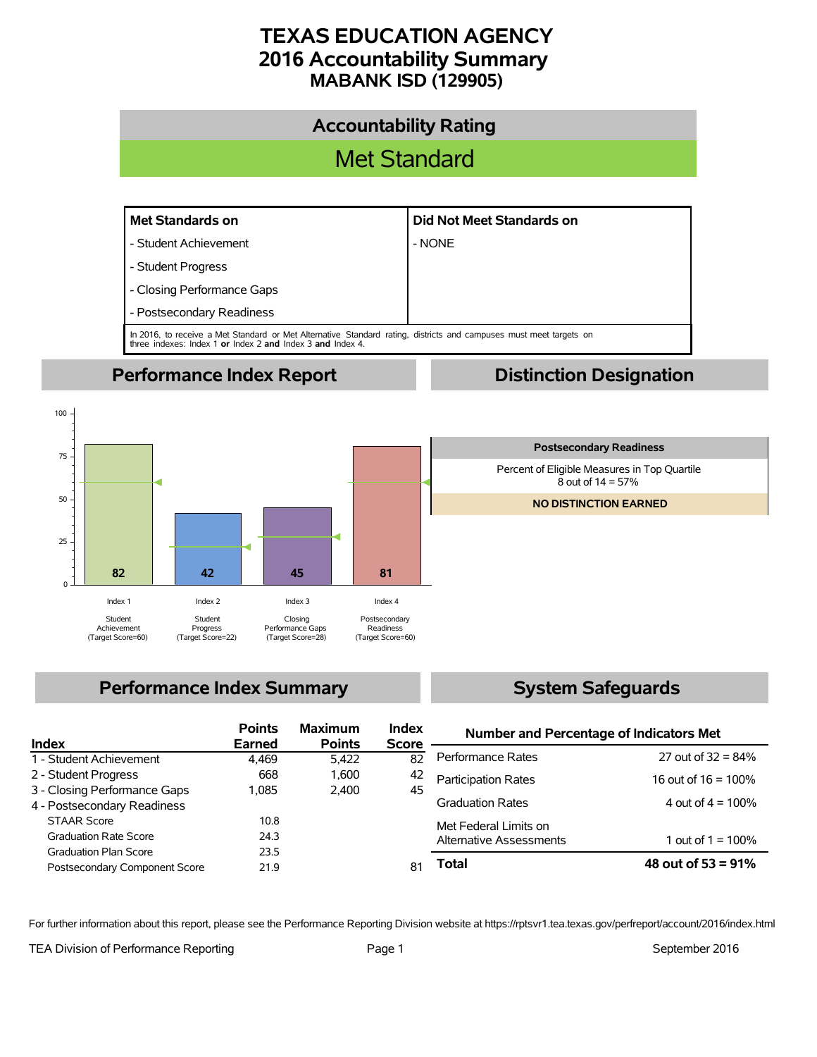# **TEXAS EDUCATION AGENCY 2016 Accountability Summary MABANK ISD (129905)**



## **Performance Index Summary**

## **System Safeguards**

| Index                         | <b>Points</b><br>Earned | <b>Maximum</b><br><b>Points</b> | <b>Index</b><br><b>Score</b> | <b>Number and Percentage of Indicators Met</b> |                        |  |
|-------------------------------|-------------------------|---------------------------------|------------------------------|------------------------------------------------|------------------------|--|
|                               |                         |                                 |                              | Performance Rates                              | 27 out of $32 = 84\%$  |  |
| 1 - Student Achievement       | 4.469                   | 5.422                           | 82                           |                                                |                        |  |
| 2 - Student Progress          | 668                     | 1.600                           | 42                           | <b>Participation Rates</b>                     | 16 out of $16 = 100\%$ |  |
| 3 - Closing Performance Gaps  | 1.085                   | 2.400                           | 45                           |                                                |                        |  |
| 4 - Postsecondary Readiness   |                         |                                 |                              | <b>Graduation Rates</b>                        | 4 out of $4 = 100\%$   |  |
| <b>STAAR Score</b>            | 10.8                    |                                 |                              | Met Federal Limits on                          |                        |  |
| <b>Graduation Rate Score</b>  | 24.3                    |                                 |                              | Alternative Assessments                        | 1 out of $1 = 100\%$   |  |
| <b>Graduation Plan Score</b>  | 23.5                    |                                 |                              |                                                |                        |  |
| Postsecondary Component Score | 21.9                    |                                 |                              | Total                                          | 48 out of $53 = 91\%$  |  |
|                               |                         |                                 |                              |                                                |                        |  |

For further information about this report, please see the Performance Reporting Division website at https://rptsvr1.tea.texas.gov/perfreport/account/2016/index.html

TEA Division of Performance Reporting TEA Division of Performance Reporting Team Page 1

 $\Omega$ 

25

50

75

100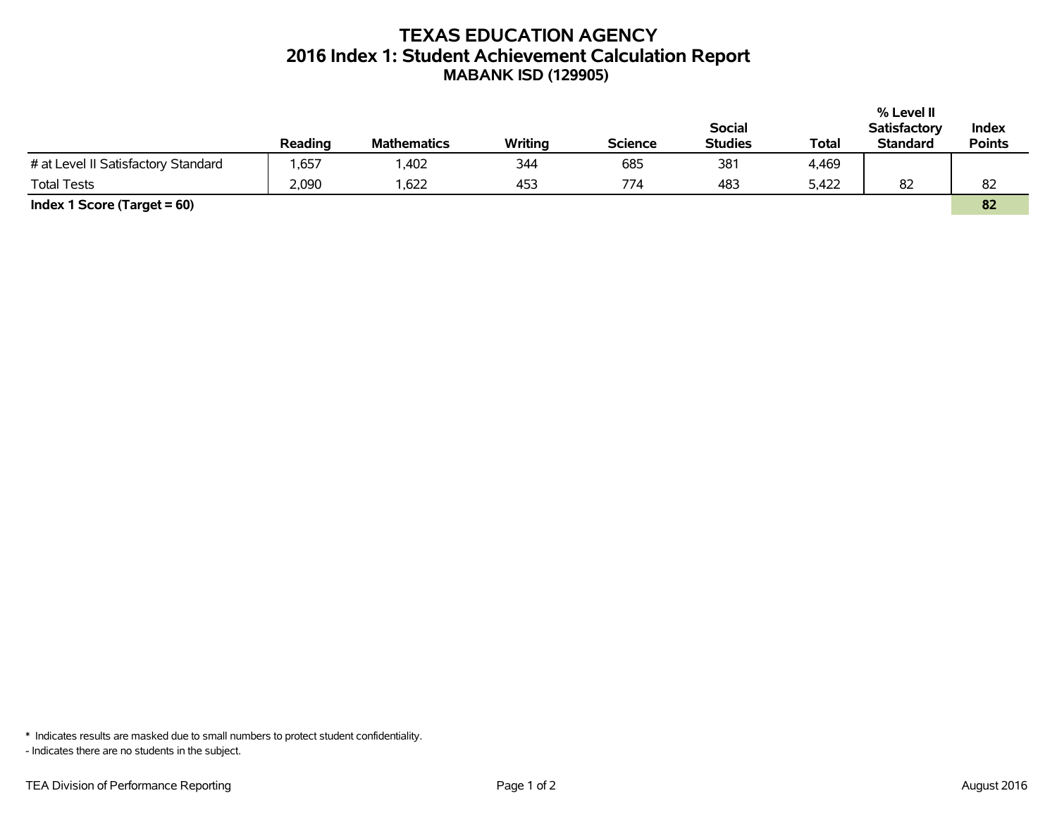## **TEXAS EDUCATION AGENCY 2016 Index 1: Student Achievement Calculation Report MABANK ISD (129905)**

|                                     |         |                    |         |                |                |       | % Level II          |               |
|-------------------------------------|---------|--------------------|---------|----------------|----------------|-------|---------------------|---------------|
|                                     |         |                    |         |                | <b>Social</b>  |       | <b>Satisfactory</b> | Index         |
|                                     | Reading | <b>Mathematics</b> | Writing | <b>Science</b> | <b>Studies</b> | Total | <b>Standard</b>     | <b>Points</b> |
| # at Level II Satisfactory Standard | .657    | ,402               | 344     | 685            | 381            | 4,469 |                     |               |
| <b>Total Tests</b>                  | 2,090   | .622               | 453     | 774            | 483            | 5,422 | 82                  | 82            |
| Index 1 Score (Target $= 60$ )      |         |                    |         |                |                |       |                     | 82            |

\* Indicates results are masked due to small numbers to protect student confidentiality.

- Indicates there are no students in the subject.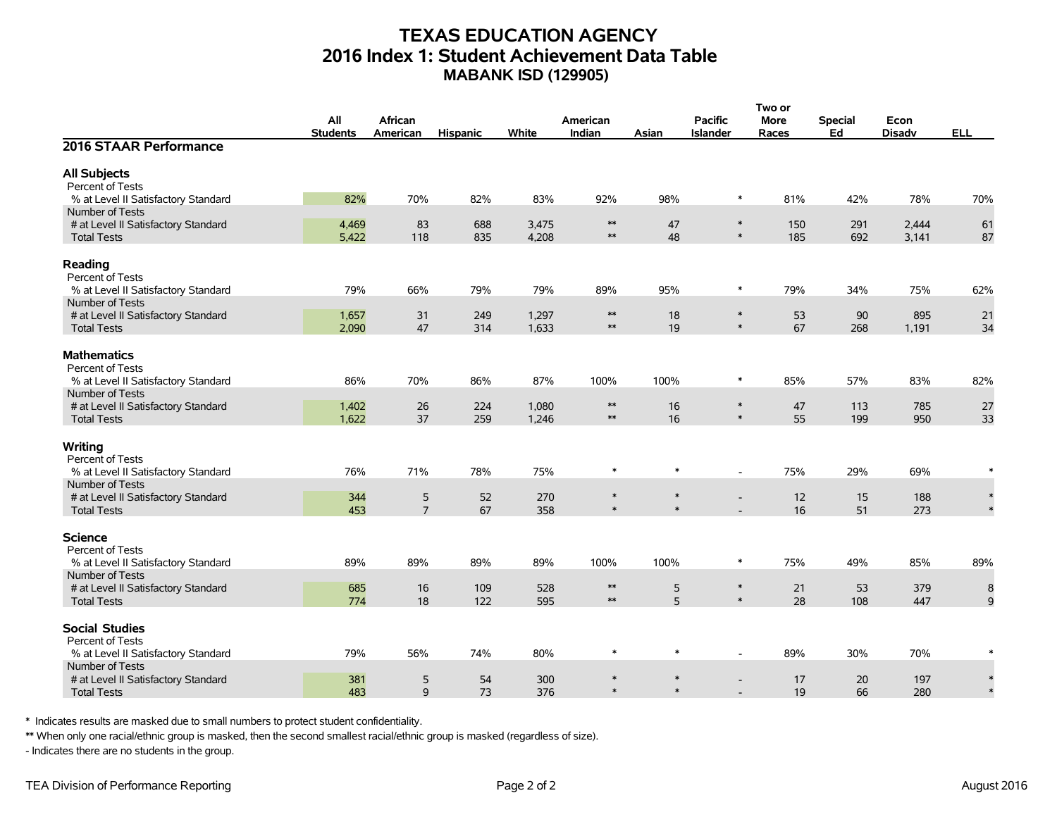## **TEXAS EDUCATION AGENCY 2016 Index 1: Student Achievement Data Table MABANK ISD (129905)**

|                                     |                 |                |                 |       |                          |        |                  | Two or      |                |               |            |
|-------------------------------------|-----------------|----------------|-----------------|-------|--------------------------|--------|------------------|-------------|----------------|---------------|------------|
|                                     | All             | African        |                 |       | American                 |        | <b>Pacific</b>   | <b>More</b> | <b>Special</b> | Econ          |            |
|                                     | <b>Students</b> | American       | <b>Hispanic</b> | White | Indian                   | Asian  | <b>Islander</b>  | Races       | Ed             | <b>Disadv</b> | <b>ELL</b> |
| 2016 STAAR Performance              |                 |                |                 |       |                          |        |                  |             |                |               |            |
| <b>All Subjects</b>                 |                 |                |                 |       |                          |        |                  |             |                |               |            |
| Percent of Tests                    |                 |                |                 |       |                          |        |                  |             |                |               |            |
| % at Level II Satisfactory Standard | 82%             | 70%            | 82%             | 83%   | 92%                      | 98%    | $\ast$           | 81%         | 42%            | 78%           | 70%        |
| Number of Tests                     |                 |                |                 |       |                          |        |                  |             |                |               |            |
| # at Level II Satisfactory Standard | 4,469           | 83             | 688             | 3,475 | $**$                     | 47     | $\ast$           | 150         | 291            | 2,444         | 61         |
| <b>Total Tests</b>                  | 5,422           | 118            | 835             | 4,208 | $\ast\ast$               | 48     | $\ast$           | 185         | 692            | 3,141         | 87         |
| Reading                             |                 |                |                 |       |                          |        |                  |             |                |               |            |
| Percent of Tests                    |                 |                |                 |       |                          |        |                  |             |                |               |            |
| % at Level II Satisfactory Standard | 79%             | 66%            | 79%             | 79%   | 89%                      | 95%    | $\ast$           | 79%         | 34%            | 75%           | 62%        |
| Number of Tests                     |                 |                |                 |       |                          |        |                  |             |                |               |            |
| # at Level II Satisfactory Standard | 1,657           | 31             | 249             | 1,297 | $\ast\ast$               | 18     | $\ast$           | 53          | 90             | 895           | 21         |
| <b>Total Tests</b>                  | 2,090           | 47             | 314             | 1,633 | $\ast\ast$               | 19     | $\ast$           | 67          | 268            | 1,191         | 34         |
| <b>Mathematics</b>                  |                 |                |                 |       |                          |        |                  |             |                |               |            |
| Percent of Tests                    |                 |                |                 |       |                          |        |                  |             |                |               |            |
| % at Level II Satisfactory Standard | 86%             | 70%            | 86%             | 87%   | 100%                     | 100%   | $\ast$           | 85%         | 57%            | 83%           | 82%        |
| Number of Tests                     |                 |                |                 |       |                          |        |                  |             |                |               |            |
| # at Level II Satisfactory Standard | 1,402           | 26             | 224             | 1,080 | $\ast\ast$               | 16     | $\ast$           | 47          | 113            | 785           | 27         |
| <b>Total Tests</b>                  | 1,622           | 37             | 259             | 1,246 | $\ast\ast$               | 16     | $\ast$           | 55          | 199            | 950           | 33         |
|                                     |                 |                |                 |       |                          |        |                  |             |                |               |            |
| Writing<br>Percent of Tests         |                 |                |                 |       |                          |        |                  |             |                |               |            |
| % at Level II Satisfactory Standard | 76%             | 71%            | 78%             | 75%   | $\ast$                   | $\ast$ |                  | 75%         | 29%            | 69%           |            |
| Number of Tests                     |                 |                |                 |       |                          |        |                  |             |                |               |            |
| # at Level II Satisfactory Standard | 344             | $\mathsf S$    | 52              | 270   | $\ast$                   | $\ast$ |                  | 12          | 15             | 188           | $\ast$     |
| <b>Total Tests</b>                  | 453             | $\overline{7}$ | 67              | 358   | $\ast$                   | $\ast$ |                  | 16          | 51             | 273           |            |
|                                     |                 |                |                 |       |                          |        |                  |             |                |               |            |
| Science                             |                 |                |                 |       |                          |        |                  |             |                |               |            |
| Percent of Tests                    |                 |                |                 |       |                          |        |                  |             |                |               |            |
| % at Level II Satisfactory Standard | 89%             | 89%            | 89%             | 89%   | 100%                     | 100%   | $\ast$           | 75%         | 49%            | 85%           | 89%        |
| Number of Tests                     |                 |                |                 |       |                          |        |                  |             |                |               |            |
| # at Level II Satisfactory Standard | 685             | 16             | 109             | 528   | $\ast\ast$<br>$\ast\ast$ | 5<br>5 | $\ast$<br>$\ast$ | 21          | 53             | 379           | 8          |
| <b>Total Tests</b>                  | 774             | 18             | 122             | 595   |                          |        |                  | 28          | 108            | 447           | 9          |
| <b>Social Studies</b>               |                 |                |                 |       |                          |        |                  |             |                |               |            |
| Percent of Tests                    |                 |                |                 |       |                          |        |                  |             |                |               |            |
| % at Level II Satisfactory Standard | 79%             | 56%            | 74%             | 80%   | $\ast$                   | $\ast$ |                  | 89%         | 30%            | 70%           |            |
| Number of Tests                     |                 |                |                 |       |                          |        |                  |             |                |               |            |
| # at Level II Satisfactory Standard | 381             | 5              | 54              | 300   | $\ast$                   | $\ast$ |                  | 17          | 20             | 197           |            |
| <b>Total Tests</b>                  | 483             | 9              | 73              | 376   | $\ast$                   | $\ast$ |                  | 19          | 66             | 280           |            |

\* Indicates results are masked due to small numbers to protect student confidentiality.

\*\* When only one racial/ethnic group is masked, then the second smallest racial/ethnic group is masked (regardless of size).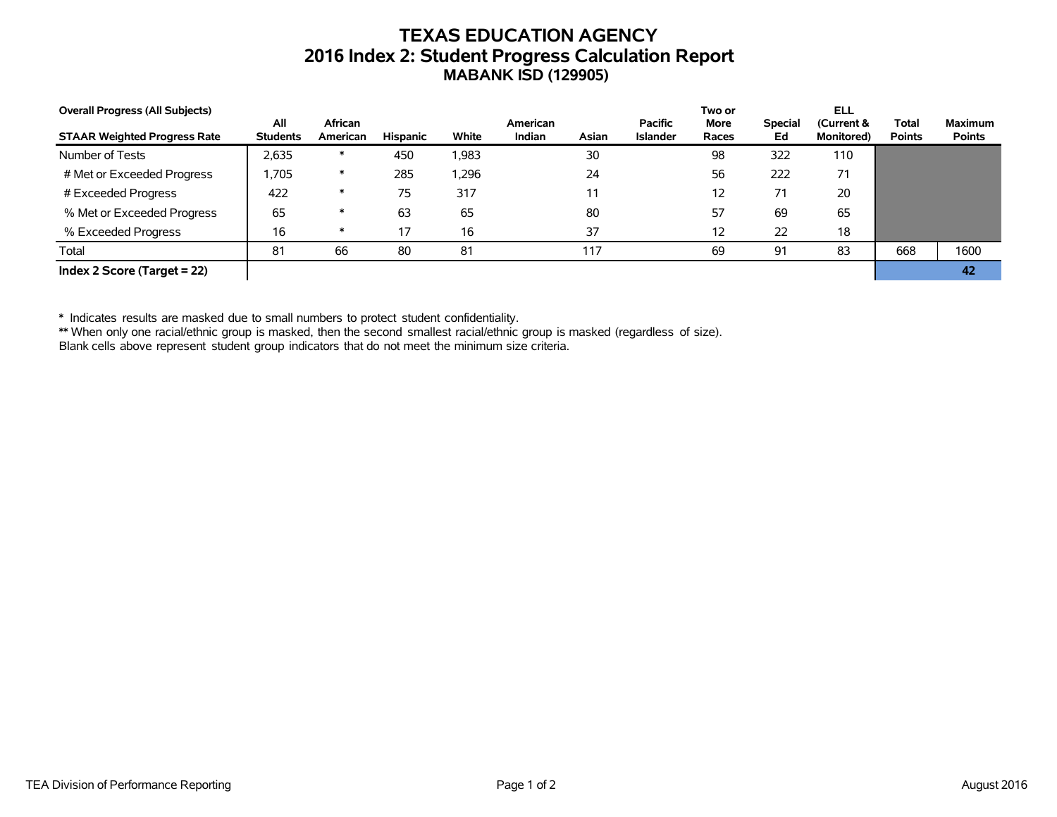## **TEXAS EDUCATION AGENCY 2016 Index 2: Student Progress Calculation Report MABANK ISD (129905)**

| <b>Overall Progress (All Subjects)</b> |                        |                     |          |       |                    |       |                                   | Two or               |                      | ELL                              |                               |                                 |
|----------------------------------------|------------------------|---------------------|----------|-------|--------------------|-------|-----------------------------------|----------------------|----------------------|----------------------------------|-------------------------------|---------------------------------|
| <b>STAAR Weighted Progress Rate</b>    | All<br><b>Students</b> | African<br>American | Hispanic | White | American<br>Indian | Asian | <b>Pacific</b><br><b>Islander</b> | <b>More</b><br>Races | <b>Special</b><br>Ed | (Current &<br><b>Monitored</b> ) | <b>Total</b><br><b>Points</b> | <b>Maximum</b><br><b>Points</b> |
| Number of Tests                        | 2,635                  | $\ast$              | 450      | 1,983 |                    | 30    |                                   | 98                   | 322                  | 110                              |                               |                                 |
| # Met or Exceeded Progress             | .705                   | $\ast$              | 285      | 296.  |                    | 24    |                                   | 56                   | 222                  | 71                               |                               |                                 |
| # Exceeded Progress                    | 422                    | $\ast$              | 75       | 317   |                    | 11    |                                   | 12                   | 71                   | 20                               |                               |                                 |
| % Met or Exceeded Progress             | 65                     | $\ast$              | 63       | 65    |                    | 80    |                                   | 57                   | 69                   | 65                               |                               |                                 |
| % Exceeded Progress                    | 16                     | $\ast$              | 17       | 16    |                    | 37    |                                   | 12                   | 22                   | 18                               |                               |                                 |
| Total                                  | 81                     | 66                  | 80       | 81    |                    | 117   |                                   | 69                   | 91                   | 83                               | 668                           | 1600                            |
| Index 2 Score (Target $= 22$ )         |                        |                     |          |       |                    |       |                                   |                      |                      |                                  |                               | 42                              |

\* Indicates results are masked due to small numbers to protect student confidentiality.

\*\* When only one racial/ethnic group is masked, then the second smallest racial/ethnic group is masked (regardless of size).

Blank cells above represent student group indicators that do not meet the minimum size criteria.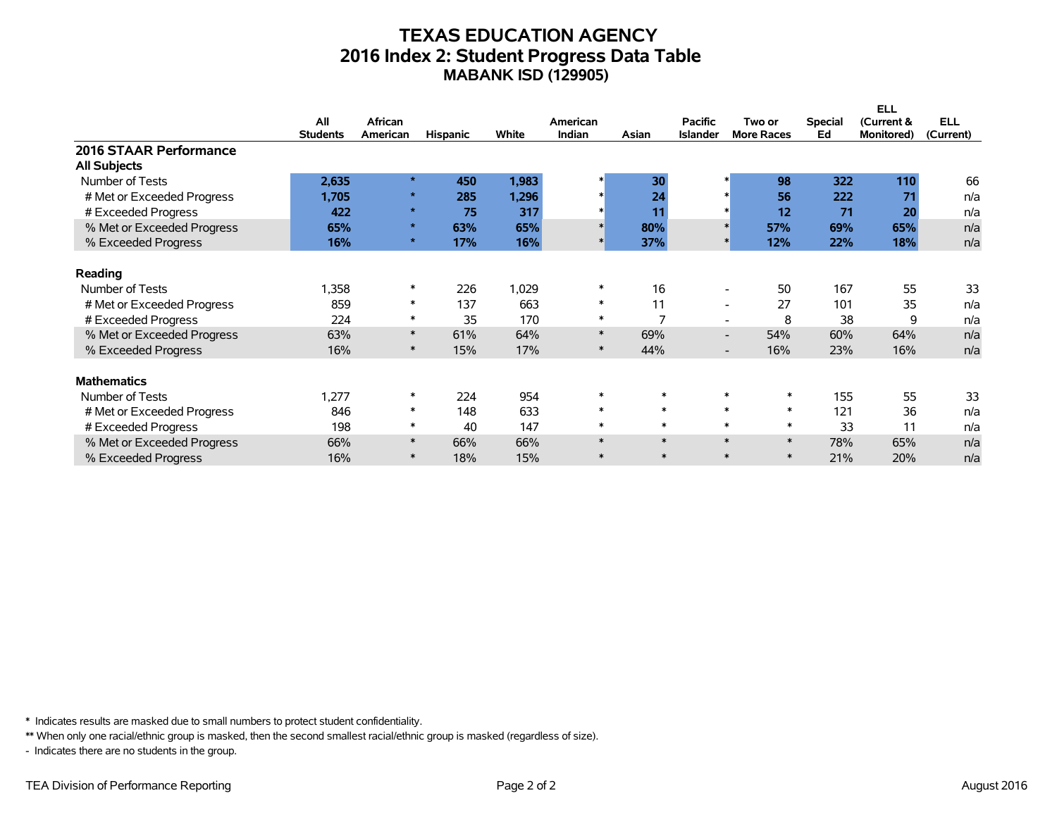### **TEXAS EDUCATION AGENCY 2016 Index 2: Student Progress Data Table MABANK ISD (129905)**

|                            |                 |          |                 |       |          |        |                 |                                 |                | <b>ELL</b> |            |
|----------------------------|-----------------|----------|-----------------|-------|----------|--------|-----------------|---------------------------------|----------------|------------|------------|
|                            | All             | African  |                 |       | American |        | <b>Pacific</b>  | Two or                          | <b>Special</b> | (Current & | <b>ELL</b> |
|                            | <b>Students</b> | American | <b>Hispanic</b> | White | Indian   | Asian  | <b>Islander</b> | <b>More Races</b>               | Ed             | Monitored) | (Current)  |
| 2016 STAAR Performance     |                 |          |                 |       |          |        |                 |                                 |                |            |            |
| <b>All Subjects</b>        |                 |          |                 |       |          |        |                 |                                 |                |            |            |
| Number of Tests            | 2,635           | $\star$  | 450             | 1,983 |          | 30     |                 | 98                              | 322            | 110        | 66         |
| # Met or Exceeded Progress | 1,705           | $\star$  | 285             | 1,296 |          | 24     |                 | 56                              | 222            | 71         | n/a        |
| # Exceeded Progress        | 422             | $\star$  | 75              | 317   |          | 11     |                 | 12                              | 71             | 20         | n/a        |
| % Met or Exceeded Progress | 65%             | $\star$  | 63%             | 65%   |          | 80%    |                 | $\ast$<br>57%                   | 69%            | 65%        | n/a        |
| % Exceeded Progress        | 16%             | $\star$  | 17%             | 16%   |          | 37%    |                 | 12%                             | 22%            | 18%        | n/a        |
|                            |                 |          |                 |       |          |        |                 |                                 |                |            |            |
| Reading                    |                 |          |                 |       |          |        |                 |                                 |                |            |            |
| Number of Tests            | 1,358           | $\ast$   | 226             | 1,029 | $\ast$   | 16     |                 | 50<br>$\overline{\phantom{a}}$  | 167            | 55         | 33         |
| # Met or Exceeded Progress | 859             | $\ast$   | 137             | 663   | $\ast$   | 11     |                 | 27<br>$\overline{\phantom{a}}$  | 101            | 35         | n/a        |
| # Exceeded Progress        | 224             | $\ast$   | 35              | 170   | $\ast$   |        |                 | 8<br>$\overline{\phantom{0}}$   | 38             | 9          | n/a        |
| % Met or Exceeded Progress | 63%             | $\ast$   | 61%             | 64%   | $\ast$   | 69%    |                 | 54%<br>$\overline{\phantom{0}}$ | 60%            | 64%        | n/a        |
| % Exceeded Progress        | 16%             | $\ast$   | 15%             | 17%   | $\ast$   | 44%    |                 | 16%<br>$\overline{\phantom{0}}$ | 23%            | 16%        | n/a        |
|                            |                 |          |                 |       |          |        |                 |                                 |                |            |            |
| <b>Mathematics</b>         |                 |          |                 |       |          |        |                 |                                 |                |            |            |
| Number of Tests            | 1,277           | $\ast$   | 224             | 954   | $\ast$   | $\ast$ |                 | $\ast$                          | 155            | 55         | 33         |
| # Met or Exceeded Progress | 846             | $\ast$   | 148             | 633   | $\ast$   | $\ast$ |                 | $\ast$<br>$\ast$                | 121            | 36         | n/a        |
| # Exceeded Progress        | 198             | $\ast$   | 40              | 147   | $\ast$   | $\ast$ |                 | $\ast$<br>$\ast$                | 33             | 11         | n/a        |
| % Met or Exceeded Progress | 66%             | $\ast$   | 66%             | 66%   | $\ast$   | $\ast$ |                 | $\ast$<br>$\ast$                | 78%            | 65%        | n/a        |
| % Exceeded Progress        | 16%             | $\ast$   | 18%             | 15%   | $\ast$   | $\ast$ |                 | $\ast$<br>$\ast$                | 21%            | 20%        | n/a        |

\* Indicates results are masked due to small numbers to protect student confidentiality.

\*\* When only one racial/ethnic group is masked, then the second smallest racial/ethnic group is masked (regardless of size).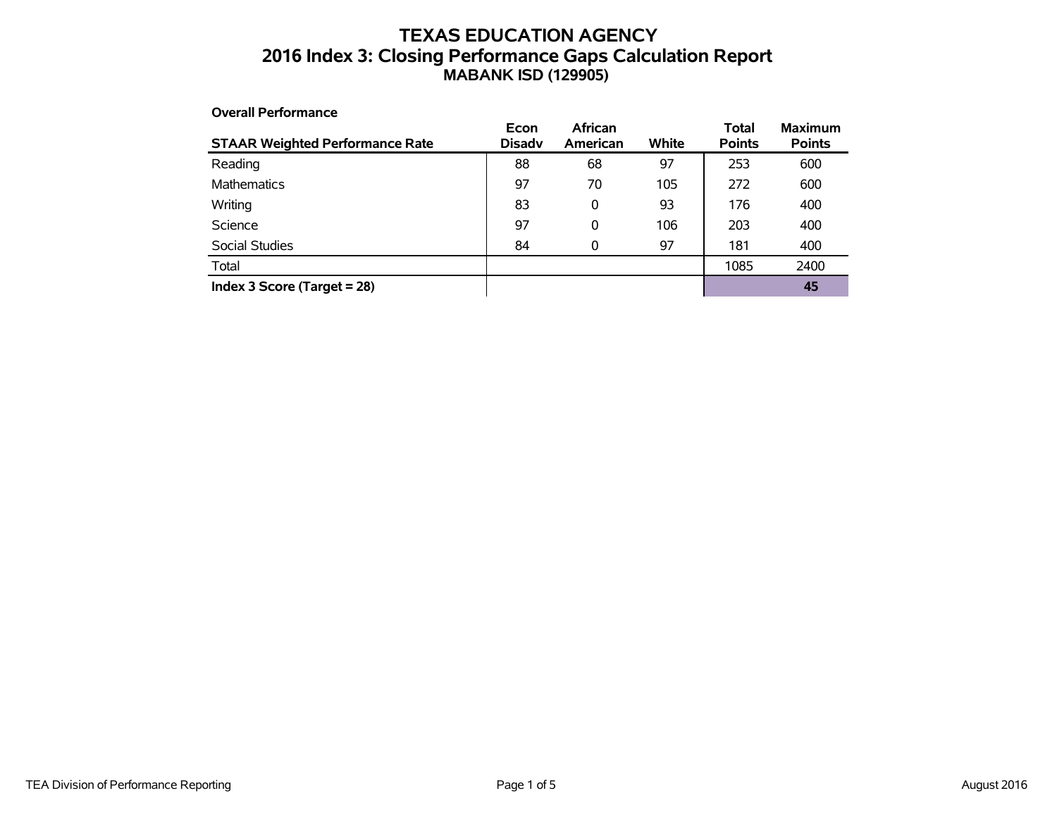## **TEXAS EDUCATION AGENCY 2016 Index 3: Closing Performance Gaps Calculation Report MABANK ISD (129905)**

#### **Overall Performance STAAR Weighted Performance Rate Econ Disadv African American White Total Points Maximum Points** Reading 88 68 97 253 600 Mathematics 197 70 105 272 600 Writing 83 0 93 176 400 Science 97 0 106 203 400 Social Studies **84** 0 97 181 400 Total 1085 2400 **Index 3 Score (Target = 28) 45**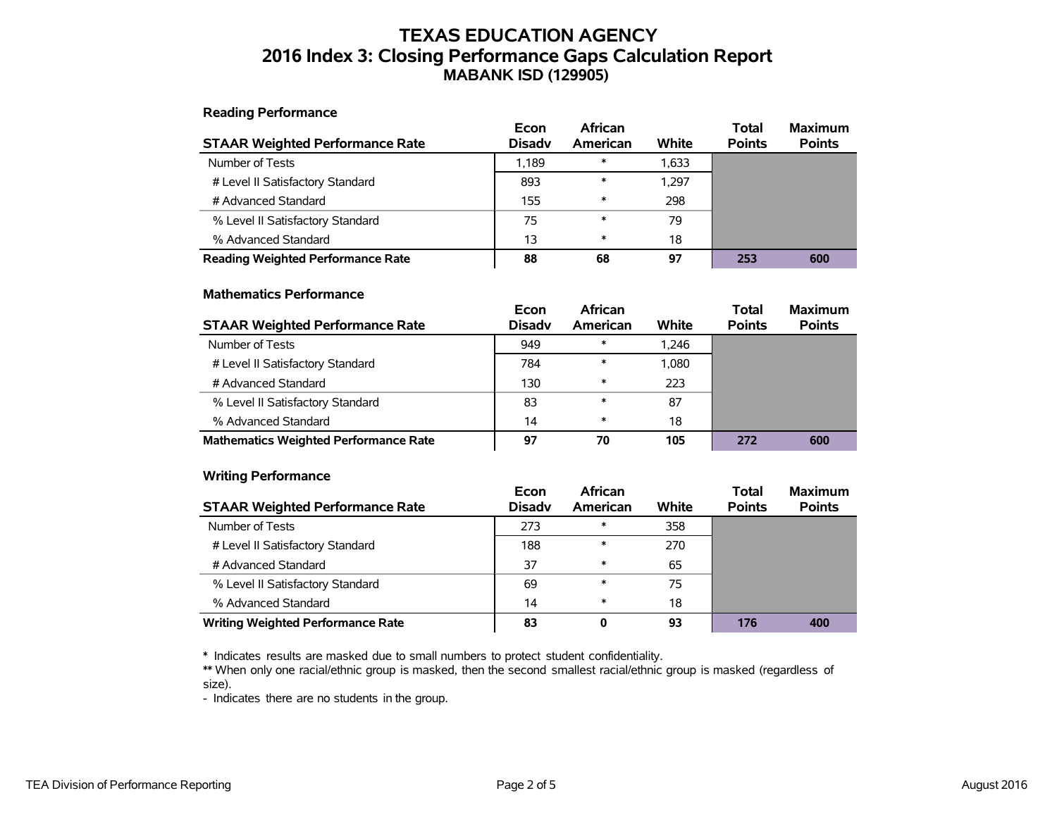### **TEXAS EDUCATION AGENCY 2016 Index 3: Closing Performance Gaps Calculation Report MABANK ISD (129905)**

### **Reading Performance**

| <b>STAAR Weighted Performance Rate</b>   | Econ<br><b>Disady</b> | African<br>American | White | Total<br><b>Points</b> | <b>Maximum</b><br><b>Points</b> |
|------------------------------------------|-----------------------|---------------------|-------|------------------------|---------------------------------|
| Number of Tests                          | 1.189                 | $\ast$              | 1,633 |                        |                                 |
| # Level II Satisfactory Standard         | 893                   | $\ast$              | 1.297 |                        |                                 |
| # Advanced Standard                      | 155                   | $\ast$              | 298   |                        |                                 |
| % Level II Satisfactory Standard         | 75                    | $\ast$              | 79    |                        |                                 |
| % Advanced Standard                      | 13                    | $\ast$              | 18    |                        |                                 |
| <b>Reading Weighted Performance Rate</b> | 88                    | 68                  | 97    | 253                    | 600                             |

### **Mathematics Performance**

| <b>STAAR Weighted Performance Rate</b>       | Econ<br><b>Disadv</b> | <b>African</b><br>American | White | <b>Total</b><br><b>Points</b> | <b>Maximum</b><br><b>Points</b> |
|----------------------------------------------|-----------------------|----------------------------|-------|-------------------------------|---------------------------------|
| Number of Tests                              | 949                   | $\ast$                     | 1.246 |                               |                                 |
| # Level II Satisfactory Standard             | 784                   | $\ast$                     | 1,080 |                               |                                 |
| # Advanced Standard                          | 130                   | $\ast$                     | 223   |                               |                                 |
| % Level II Satisfactory Standard             | 83                    | $\ast$                     | 87    |                               |                                 |
| % Advanced Standard                          | 14                    | $\ast$                     | 18    |                               |                                 |
| <b>Mathematics Weighted Performance Rate</b> | 97                    | 70                         | 105   | 272                           | 600                             |

### **Writing Performance**

| <b>STAAR Weighted Performance Rate</b>   | Econ<br><b>Disadv</b> | <b>African</b><br>American | White | <b>Total</b><br><b>Points</b> | <b>Maximum</b><br><b>Points</b> |
|------------------------------------------|-----------------------|----------------------------|-------|-------------------------------|---------------------------------|
| Number of Tests                          | 273                   | ∗                          | 358   |                               |                                 |
| # Level II Satisfactory Standard         | 188                   | $\ast$                     | 270   |                               |                                 |
| # Advanced Standard                      | 37                    | $\ast$                     | 65    |                               |                                 |
| % Level II Satisfactory Standard         | 69                    | $\ast$                     | 75    |                               |                                 |
| % Advanced Standard                      | 14                    | $\ast$                     | 18    |                               |                                 |
| <b>Writing Weighted Performance Rate</b> | 83                    | 0                          | 93    | 176                           | 400                             |

\* Indicates results are masked due to small numbers to protect student confidentiality.

\*\* When only one racial/ethnic group is masked, then the second smallest racial/ethnic group is masked (regardless of size).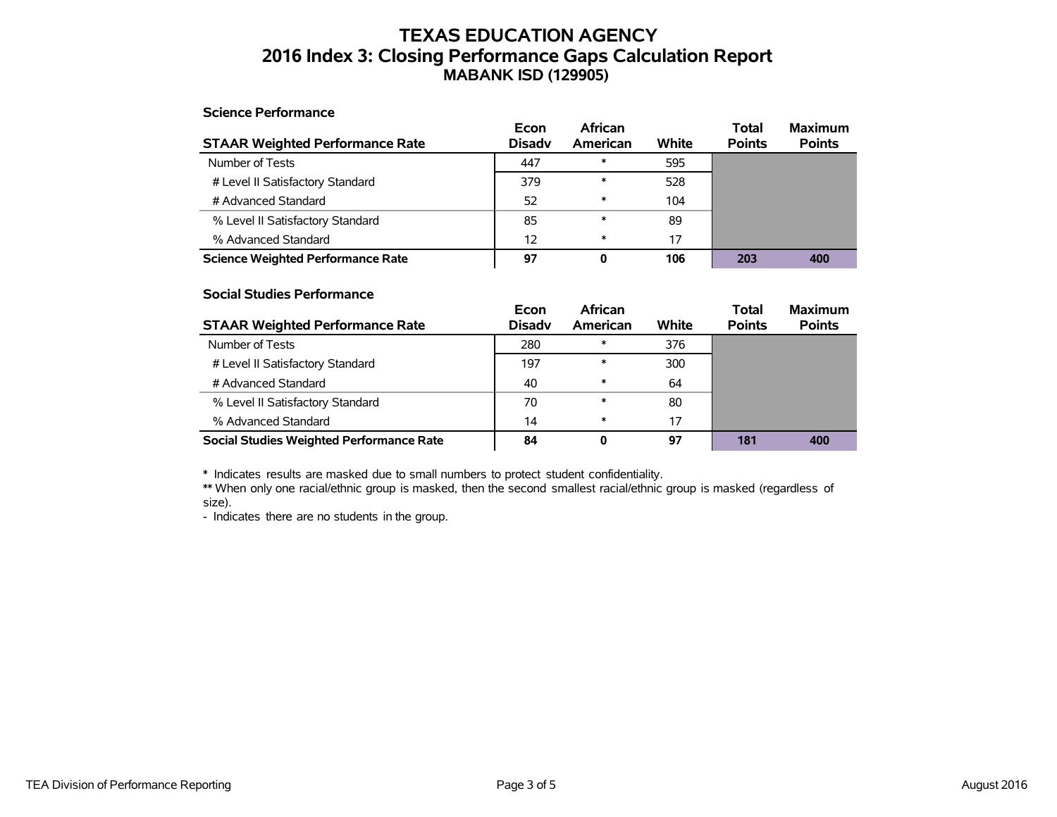### **TEXAS EDUCATION AGENCY 2016 Index 3: Closing Performance Gaps Calculation Report MABANK ISD (129905)**

### **Science Performance**

| <b>STAAR Weighted Performance Rate</b>   | Econ<br><b>Disady</b> | African<br>American | White | <b>Total</b><br><b>Points</b> | <b>Maximum</b><br><b>Points</b> |
|------------------------------------------|-----------------------|---------------------|-------|-------------------------------|---------------------------------|
| Number of Tests                          | 447                   | $\ast$              | 595   |                               |                                 |
| # Level II Satisfactory Standard         | 379                   | $\ast$              | 528   |                               |                                 |
| # Advanced Standard                      | 52                    | $\ast$              | 104   |                               |                                 |
| % Level II Satisfactory Standard         | 85                    | $\ast$              | 89    |                               |                                 |
| % Advanced Standard                      | 12                    | $\ast$              | 17    |                               |                                 |
| <b>Science Weighted Performance Rate</b> | 97                    | 0                   | 106   | 203                           | 400                             |

### **Social Studies Performance**

| <b>STAAR Weighted Performance Rate</b>          | Econ<br><b>Disadv</b> | <b>African</b><br>American | White | <b>Total</b><br><b>Points</b> | <b>Maximum</b><br><b>Points</b> |
|-------------------------------------------------|-----------------------|----------------------------|-------|-------------------------------|---------------------------------|
| Number of Tests                                 | 280                   | $\ast$                     | 376   |                               |                                 |
| # Level II Satisfactory Standard                | 197                   | $\ast$                     | 300   |                               |                                 |
| # Advanced Standard                             | 40                    | $\ast$                     | 64    |                               |                                 |
| % Level II Satisfactory Standard                | 70                    | $\ast$                     | 80    |                               |                                 |
| % Advanced Standard                             | 14                    | $\ast$                     | 17    |                               |                                 |
| <b>Social Studies Weighted Performance Rate</b> | 84                    | 0                          | 97    | 181                           | 400                             |

\* Indicates results are masked due to small numbers to protect student confidentiality.

\*\* When only one racial/ethnic group is masked, then the second smallest racial/ethnic group is masked (regardless of size).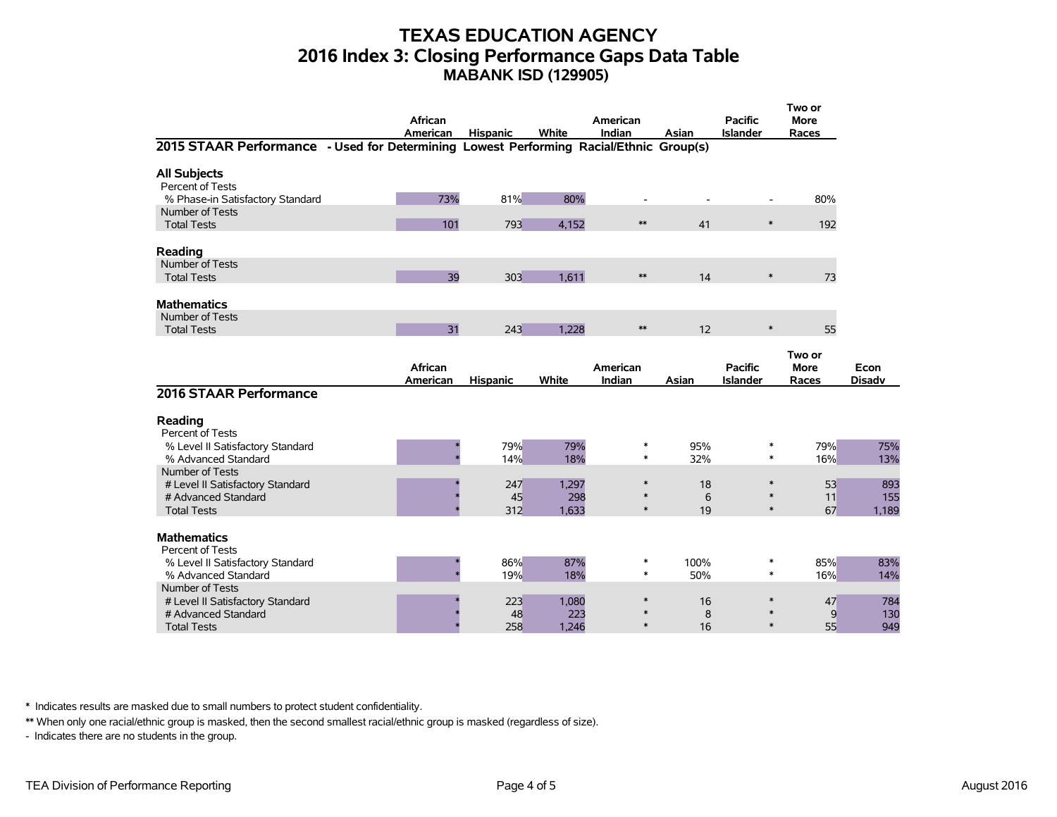### **TEXAS EDUCATION AGENCY 2016 Index 3: Closing Performance Gaps Data Table MABANK ISD (129905)**

|                                                                                        | African<br>American | <b>Hispanic</b> | White        | American<br>Indian | Asian       | <b>Pacific</b><br><b>Islander</b> | Two or<br><b>More</b><br>Races |               |
|----------------------------------------------------------------------------------------|---------------------|-----------------|--------------|--------------------|-------------|-----------------------------------|--------------------------------|---------------|
| 2015 STAAR Performance - Used for Determining Lowest Performing Racial/Ethnic Group(s) |                     |                 |              |                    |             |                                   |                                |               |
| <b>All Subjects</b><br>Percent of Tests                                                |                     |                 |              |                    |             |                                   |                                |               |
| % Phase-in Satisfactory Standard                                                       | 73%                 | 81%             | 80%          |                    |             |                                   | 80%                            |               |
| Number of Tests<br><b>Total Tests</b>                                                  | 101                 | 793             | 4.152        | $**$               | 41          | $\ast$                            | 192                            |               |
| Reading                                                                                |                     |                 |              |                    |             |                                   |                                |               |
| Number of Tests<br><b>Total Tests</b>                                                  | 39                  | 303             | 1.611        | $**$               | 14          | $\ast$                            | 73                             |               |
| <b>Mathematics</b>                                                                     |                     |                 |              |                    |             |                                   |                                |               |
| Number of Tests<br><b>Total Tests</b>                                                  | 31                  | 243             | 1.228        | $\ast\ast$         | 12          | $\ast$                            | 55                             |               |
|                                                                                        | African             |                 |              | American           |             | <b>Pacific</b>                    | Two or<br><b>More</b>          | Econ          |
|                                                                                        | American            | <b>Hispanic</b> | White        | Indian             | Asian       | <b>Islander</b>                   | Races                          | <b>Disadv</b> |
| 2016 STAAR Performance                                                                 |                     |                 |              |                    |             |                                   |                                |               |
| Reading<br>Percent of Tests                                                            |                     |                 |              |                    |             |                                   |                                |               |
| % Level II Satisfactory Standard<br>% Advanced Standard                                |                     | 79%<br>14%      | 79%<br>18%   | ∗<br>$\ast$        | 95%<br>32%  | *<br>$\ast$                       | 79%<br>16%                     | 75%<br>13%    |
| Number of Tests<br># Level II Satisfactory Standard                                    |                     | 247             | 1,297        | $\ast$             | 18          | $\ast$                            | 53                             | 893           |
| # Advanced Standard<br><b>Total Tests</b>                                              |                     | 45<br>312       | 298<br>1,633 | $\ast$<br>$\ast$   | 6<br>19     | $\ast$<br>$\ast$                  | 11<br>67                       | 155<br>1,189  |
| <b>Mathematics</b>                                                                     |                     |                 |              |                    |             |                                   |                                |               |
| Percent of Tests                                                                       |                     |                 |              |                    |             |                                   |                                |               |
| % Level II Satisfactory Standard<br>% Advanced Standard                                |                     | 86%<br>19%      | 87%<br>18%   | $\ast$<br>$\ast$   | 100%<br>50% | $\ast$<br>$\ast$                  | 85%<br>16%                     | 83%<br>14%    |
| Number of Tests<br># Level II Satisfactory Standard                                    |                     | 223             | 1,080        | $\ast$             | 16          | $\ast$                            | 47                             | 784           |
| # Advanced Standard<br><b>Total Tests</b>                                              |                     | 48<br>258       | 223<br>1.246 | $\ast$             | 8<br>16     | $\ast$<br>$\ast$                  | 9<br>55                        | 130<br>949    |

\* Indicates results are masked due to small numbers to protect student confidentiality.

\*\* When only one racial/ethnic group is masked, then the second smallest racial/ethnic group is masked (regardless of size).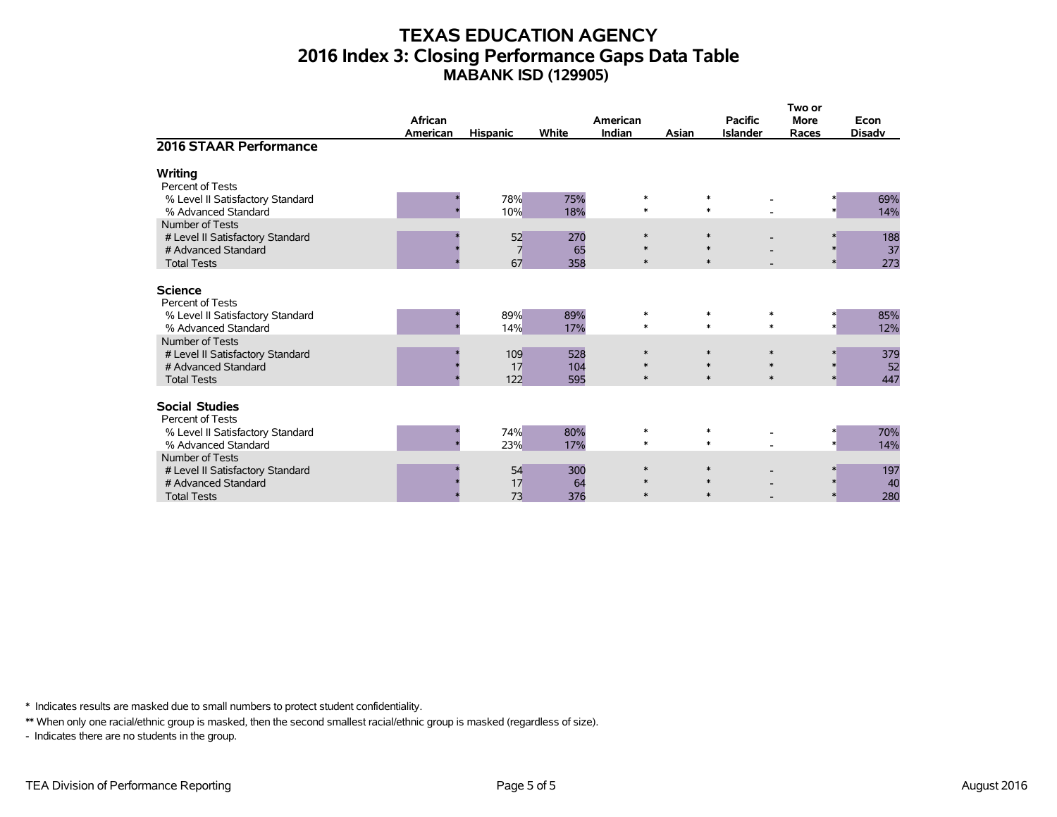## **TEXAS EDUCATION AGENCY 2016 Index 3: Closing Performance Gaps Data Table MABANK ISD (129905)**

|                                                                                                  | <b>African</b> |                            |                   | American                   |                  | <b>Pacific</b>                       | Two or<br><b>More</b> | Econ             |
|--------------------------------------------------------------------------------------------------|----------------|----------------------------|-------------------|----------------------------|------------------|--------------------------------------|-----------------------|------------------|
|                                                                                                  | American       | <b>Hispanic</b>            | White             | Indian                     | Asian            | <b>Islander</b>                      | Races                 | <b>Disadv</b>    |
| 2016 STAAR Performance                                                                           |                |                            |                   |                            |                  |                                      |                       |                  |
| Writing<br>Percent of Tests                                                                      |                |                            |                   |                            |                  |                                      |                       |                  |
| % Level II Satisfactory Standard<br>% Advanced Standard                                          |                | 78%<br>10%                 | 75%<br>18%        | $\ast$<br>$\ast$           | $\ast$<br>$\ast$ |                                      |                       | 69%<br>14%       |
| Number of Tests<br># Level II Satisfactory Standard<br># Advanced Standard<br><b>Total Tests</b> |                | 52<br>$\overline{7}$<br>67 | 270<br>65<br>358  | $\ast$<br>∗<br>$\ast$      | $\ast$           | $\ast$<br>$\ast$                     | $\ast$                | 188<br>37<br>273 |
| <b>Science</b><br>Percent of Tests                                                               |                |                            |                   |                            |                  |                                      |                       |                  |
| % Level II Satisfactory Standard<br>% Advanced Standard<br>Number of Tests                       |                | 89%<br>14%                 | 89%<br>17%        | $\ast$<br>$\ast$           | $\ast$<br>$\ast$ | $\ast$<br>$\ast$                     |                       | 85%<br>12%       |
| # Level II Satisfactory Standard<br># Advanced Standard<br><b>Total Tests</b>                    |                | 109<br>17<br>122           | 528<br>104<br>595 | $\ast$<br>$\ast$<br>$\ast$ | $\ast$<br>$\ast$ | $\ast$<br>$\ast$<br>$\ast$<br>$\ast$ | $\ast$<br>$\ast$      | 379<br>52<br>447 |
| <b>Social Studies</b><br>Percent of Tests                                                        |                |                            |                   |                            |                  |                                      |                       |                  |
| % Level II Satisfactory Standard<br>% Advanced Standard                                          |                | 74%<br>23%                 | 80%<br>17%        | $\ast$<br>$\ast$           | $\ast$<br>$\ast$ |                                      |                       | 70%<br>14%       |
| Number of Tests<br># Level II Satisfactory Standard<br># Advanced Standard                       |                | 54<br>17                   | 300<br>64         | $\ast$<br>$\ast$           | $\ast$           | $\ast$                               | $\ast$                | 197<br>40        |
| <b>Total Tests</b>                                                                               |                | 73                         | 376               | $\ast$                     |                  | $\ast$                               |                       | 280              |

\* Indicates results are masked due to small numbers to protect student confidentiality.

\*\* When only one racial/ethnic group is masked, then the second smallest racial/ethnic group is masked (regardless of size).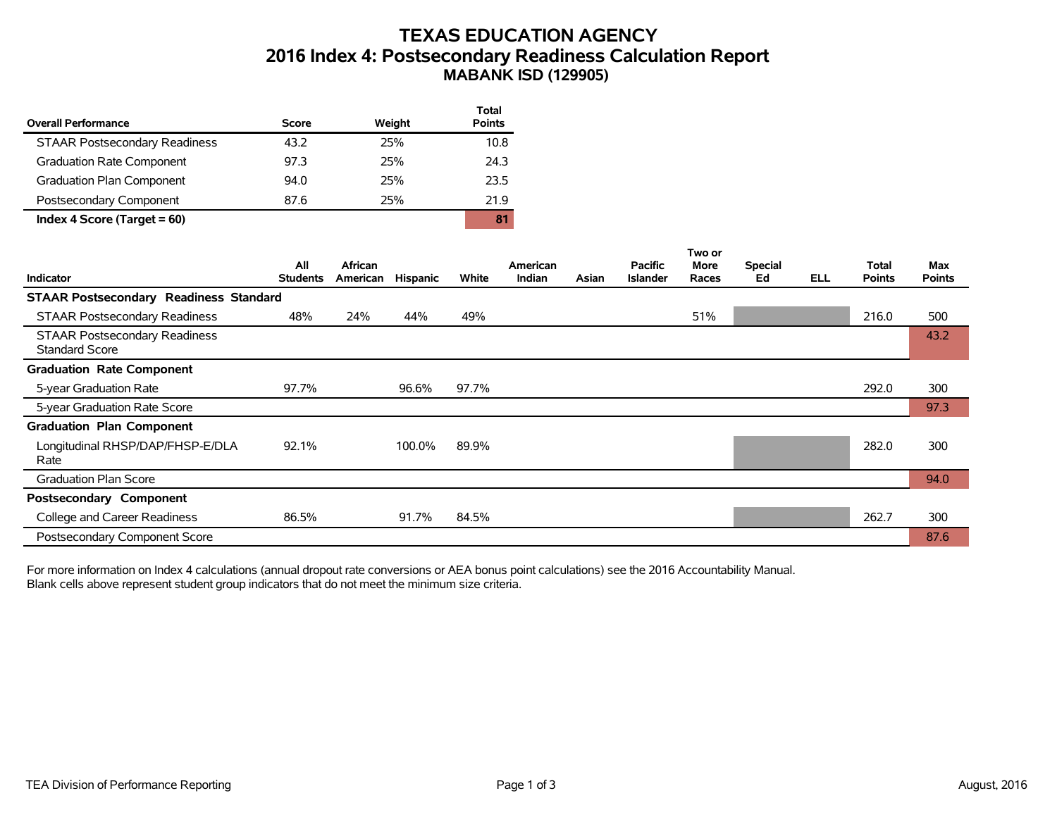## **TEXAS EDUCATION AGENCY 2016 Index 4: Postsecondary Readiness Calculation Report MABANK ISD (129905)**

| <b>Overall Performance</b>           | Score | Weight | Total<br><b>Points</b> |
|--------------------------------------|-------|--------|------------------------|
| <b>STAAR Postsecondary Readiness</b> | 43.2  | 25%    | 10.8                   |
| <b>Graduation Rate Component</b>     | 97.3  | 25%    | 24.3                   |
| Graduation Plan Component            | 94.0  | 25%    | 23.5                   |
| Postsecondary Component              | 87.6  | 25%    | 21.9                   |
| Index 4 Score (Target $= 60$ )       |       |        | 81                     |

|                                                               |                        |                     |                 |       |                    |       |                                   | Two or               |                      |            |                               |                      |
|---------------------------------------------------------------|------------------------|---------------------|-----------------|-------|--------------------|-------|-----------------------------------|----------------------|----------------------|------------|-------------------------------|----------------------|
| <b>Indicator</b>                                              | All<br><b>Students</b> | African<br>American | <b>Hispanic</b> | White | American<br>Indian | Asian | <b>Pacific</b><br><b>Islander</b> | <b>More</b><br>Races | <b>Special</b><br>Ed | <b>ELL</b> | <b>Total</b><br><b>Points</b> | Max<br><b>Points</b> |
| <b>STAAR Postsecondary Readiness Standard</b>                 |                        |                     |                 |       |                    |       |                                   |                      |                      |            |                               |                      |
| <b>STAAR Postsecondary Readiness</b>                          | 48%                    | 24%                 | 44%             | 49%   |                    |       |                                   | 51%                  |                      |            | 216.0                         | 500                  |
| <b>STAAR Postsecondary Readiness</b><br><b>Standard Score</b> |                        |                     |                 |       |                    |       |                                   |                      |                      |            |                               | 43.2                 |
| <b>Graduation Rate Component</b>                              |                        |                     |                 |       |                    |       |                                   |                      |                      |            |                               |                      |
| 5-year Graduation Rate                                        | 97.7%                  |                     | 96.6%           | 97.7% |                    |       |                                   |                      |                      |            | 292.0                         | 300                  |
| 5-year Graduation Rate Score                                  |                        |                     |                 |       |                    |       |                                   |                      |                      |            |                               | 97.3                 |
| <b>Graduation Plan Component</b>                              |                        |                     |                 |       |                    |       |                                   |                      |                      |            |                               |                      |
| Longitudinal RHSP/DAP/FHSP-E/DLA<br>Rate                      | 92.1%                  |                     | 100.0%          | 89.9% |                    |       |                                   |                      |                      |            | 282.0                         | 300                  |
| <b>Graduation Plan Score</b>                                  |                        |                     |                 |       |                    |       |                                   |                      |                      |            |                               | 94.0                 |
| Postsecondary Component                                       |                        |                     |                 |       |                    |       |                                   |                      |                      |            |                               |                      |
| College and Career Readiness                                  | 86.5%                  |                     | 91.7%           | 84.5% |                    |       |                                   |                      |                      |            | 262.7                         | 300                  |
| Postsecondary Component Score                                 |                        |                     |                 |       |                    |       |                                   |                      |                      |            |                               | 87.6                 |

For more information on Index 4 calculations (annual dropout rate conversions or AEA bonus point calculations) see the 2016 Accountability Manual. Blank cells above represent student group indicators that do not meet the minimum size criteria.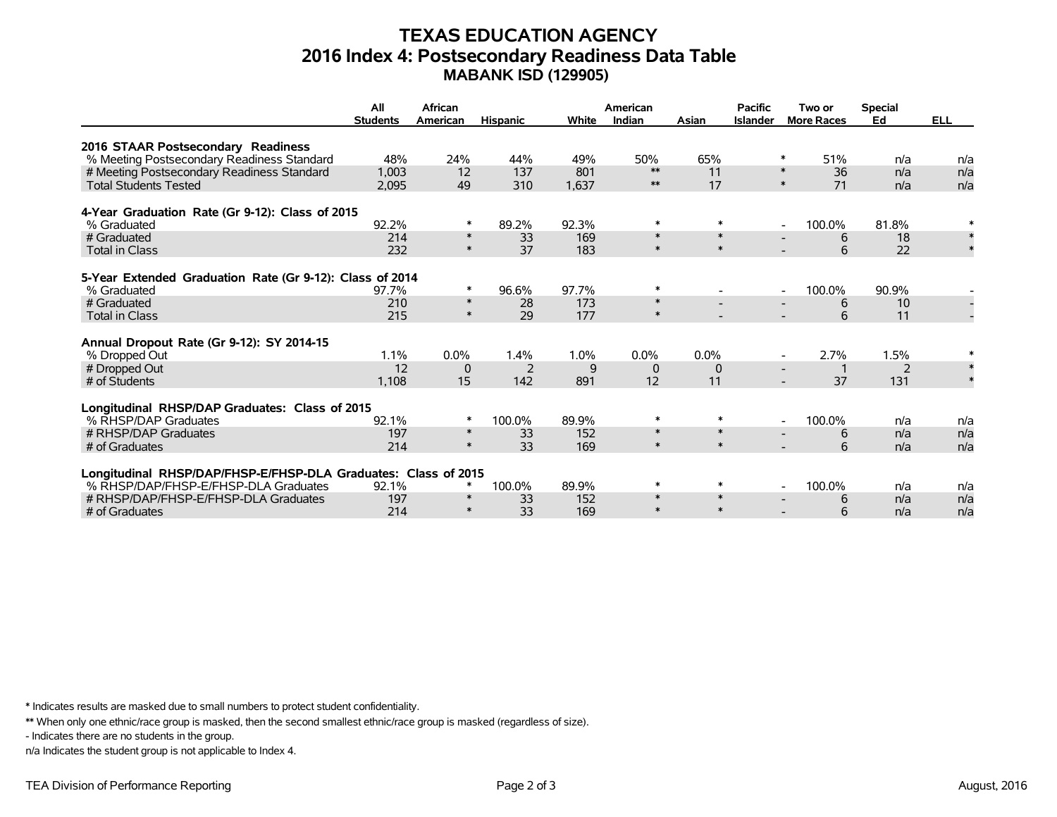### **TEXAS EDUCATION AGENCY 2016 Index 4: Postsecondary Readiness Data Table MABANK ISD (129905)**

|                                                                | All             | African          |                 |       | American         |                  |                 | Two or                             | <b>Special</b> |            |
|----------------------------------------------------------------|-----------------|------------------|-----------------|-------|------------------|------------------|-----------------|------------------------------------|----------------|------------|
|                                                                | <b>Students</b> | American         | <b>Hispanic</b> | White | Indian           | Asian            | <b>Islander</b> | <b>More Races</b>                  | Ed             | <b>ELL</b> |
| 2016 STAAR Postsecondary Readiness                             |                 |                  |                 |       |                  |                  |                 |                                    |                |            |
| % Meeting Postsecondary Readiness Standard                     | 48%             | 24%              | 44%             | 49%   | 50%              | 65%              |                 | 51%<br>∗                           | n/a            | n/a        |
| # Meeting Postsecondary Readiness Standard                     | 1.003           | 12               | 137             | 801   | $**$             | 11               |                 | 36<br>$\ast$                       | n/a            | n/a        |
| <b>Total Students Tested</b>                                   | 2.095           | 49               | 310             | 1.637 | $**$             | 17               |                 | $\ast$<br>71                       | n/a            | n/a        |
| 4-Year Graduation Rate (Gr 9-12): Class of 2015                |                 |                  |                 |       |                  |                  |                 |                                    |                |            |
| % Graduated                                                    | 92.2%           | *                | 89.2%           | 92.3% | $\ast$           | $\ast$           |                 | 100.0%<br>$\overline{\phantom{a}}$ | 81.8%          |            |
| # Graduated                                                    | 214             | $\ast$           | 33              | 169   | $\ast$           | $\ast$           |                 | 6                                  | 18             | $\ast$     |
| <b>Total in Class</b>                                          | 232             | $\ast$           | 37              | 183   | $\ast$           | $\ast$           |                 | 6                                  | 22             |            |
|                                                                |                 |                  |                 |       |                  |                  |                 |                                    |                |            |
| 5-Year Extended Graduation Rate (Gr 9-12): Class of 2014       |                 |                  |                 |       |                  |                  |                 |                                    |                |            |
| % Graduated                                                    | 97.7%           | *                | 96.6%           | 97.7% | $\ast$           |                  |                 | 100.0%<br>$\overline{\phantom{a}}$ | 90.9%          |            |
| # Graduated                                                    | 210             | $\ast$<br>$\ast$ | 28              | 173   | $\ast$<br>$\ast$ |                  |                 | 6                                  | 10             |            |
| <b>Total in Class</b>                                          | 215             |                  | 29              | 177   |                  |                  |                 | 6                                  | 11             |            |
| Annual Dropout Rate (Gr 9-12): SY 2014-15                      |                 |                  |                 |       |                  |                  |                 |                                    |                |            |
| % Dropped Out                                                  | 1.1%            | 0.0%             | 1.4%            | 1.0%  | $0.0\%$          | $0.0\%$          |                 | 2.7%                               | 1.5%           |            |
| # Dropped Out                                                  | 12              | 0                | 2               | 9     | $\Omega$         | $\mathbf 0$      |                 |                                    | 2              |            |
| # of Students                                                  | 1,108           | 15               | 142             | 891   | 12               | 11               |                 | 37                                 | 131            |            |
|                                                                |                 |                  |                 |       |                  |                  |                 |                                    |                |            |
| Longitudinal RHSP/DAP Graduates: Class of 2015                 |                 |                  |                 |       |                  |                  |                 |                                    |                |            |
| % RHSP/DAP Graduates                                           | 92.1%           | $\ast$           | 100.0%          | 89.9% | $\ast$           | $\ast$           |                 | 100.0%<br>$\overline{\phantom{a}}$ | n/a            | n/a        |
| # RHSP/DAP Graduates                                           | 197             | $\ast$           | 33              | 152   | $\ast$           | $\ast$           |                 | 6                                  | n/a            | n/a        |
| # of Graduates                                                 | 214             | $\ast$           | 33              | 169   | $\ast$           | $\ast$           |                 | 6                                  | n/a            | n/a        |
|                                                                |                 |                  |                 |       |                  |                  |                 |                                    |                |            |
| Longitudinal RHSP/DAP/FHSP-E/FHSP-DLA Graduates: Class of 2015 |                 |                  |                 |       |                  |                  |                 |                                    |                |            |
| % RHSP/DAP/FHSP-E/FHSP-DLA Graduates                           | 92.1%           | ∗                | 100.0%          | 89.9% | $\ast$<br>$\ast$ | $\ast$<br>$\ast$ |                 | 100.0%<br>$\overline{\phantom{a}}$ | n/a            | n/a        |
| # RHSP/DAP/FHSP-E/FHSP-DLA Graduates                           | 197             | $\ast$<br>$\ast$ | 33              | 152   | $\ast$           | $\ast$           |                 | 6                                  | n/a            | n/a        |
| # of Graduates                                                 | 214             |                  | 33              | 169   |                  |                  |                 | 6                                  | n/a            | n/a        |

\* Indicates results are masked due to small numbers to protect student confidentiality.

\*\* When only one ethnic/race group is masked, then the second smallest ethnic/race group is masked (regardless of size).

- Indicates there are no students in the group.

n/a Indicates the student group is not applicable to Index 4.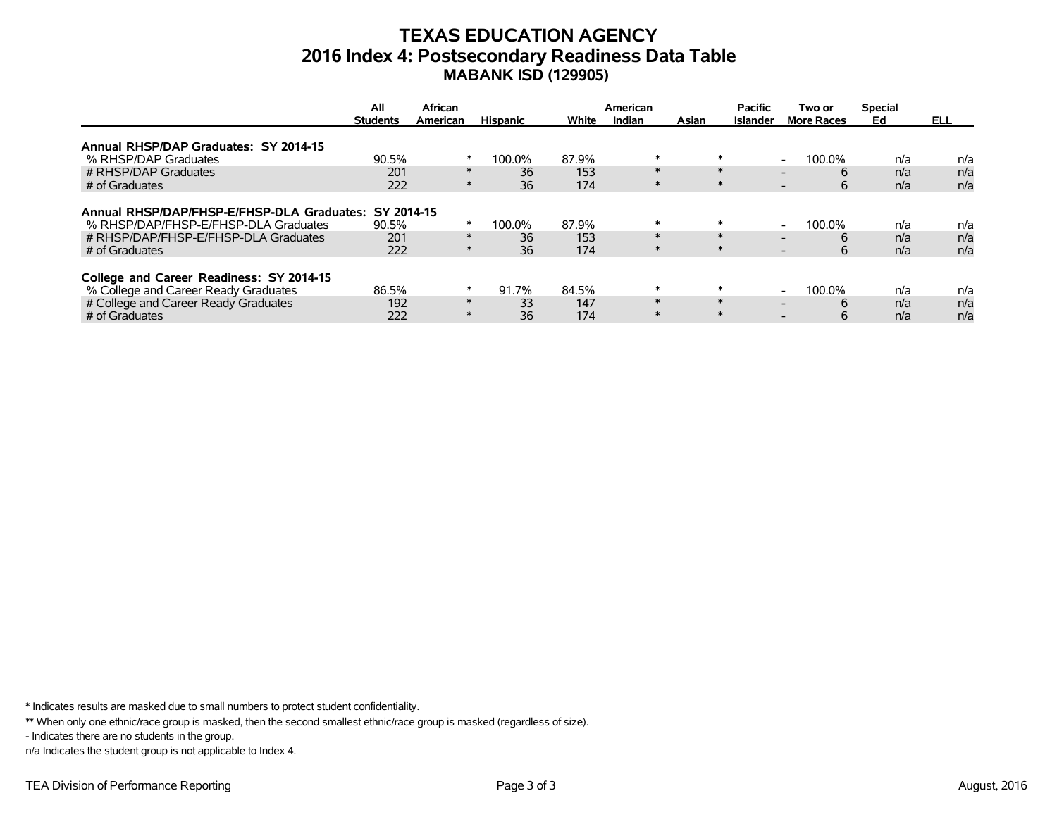### **TEXAS EDUCATION AGENCY 2016 Index 4: Postsecondary Readiness Data Table MABANK ISD (129905)**

|                                                       | All             | African  |                 |       | American |        | <b>Pacific</b>  | Two or                             | <b>Special</b> |      |
|-------------------------------------------------------|-----------------|----------|-----------------|-------|----------|--------|-----------------|------------------------------------|----------------|------|
|                                                       | <b>Students</b> | American | <b>Hispanic</b> | White | Indian   | Asian  | <b>Islander</b> | <b>More Races</b>                  | Ed             | ELL. |
| Annual RHSP/DAP Graduates: SY 2014-15                 |                 |          |                 |       |          |        |                 |                                    |                |      |
| % RHSP/DAP Graduates                                  | 90.5%           | ∗        | 100.0%          | 87.9% | $\ast$   | $\ast$ |                 | 100.0%<br>$\overline{\phantom{a}}$ | n/a            | n/a  |
| # RHSP/DAP Graduates                                  | 201             | $\ast$   | 36              | 153   | $\ast$   | $\ast$ |                 | 6                                  | n/a            | n/a  |
| # of Graduates                                        | 222             | $\ast$   | 36              | 174   | $\ast$   | $\ast$ |                 | 6<br>$\overline{\phantom{0}}$      | n/a            | n/a  |
|                                                       |                 |          |                 |       |          |        |                 |                                    |                |      |
| Annual RHSP/DAP/FHSP-E/FHSP-DLA Graduates: SY 2014-15 |                 |          |                 |       |          |        |                 |                                    |                |      |
| % RHSP/DAP/FHSP-E/FHSP-DLA Graduates                  | 90.5%           | $\ast$   | 100.0%          | 87.9% | $\ast$   | $\ast$ |                 | 100.0%<br>$\overline{\phantom{a}}$ | n/a            | n/a  |
| # RHSP/DAP/FHSP-E/FHSP-DLA Graduates                  | 201             | $\ast$   | 36              | 153   | $\ast$   | $\ast$ |                 | 6                                  | n/a            | n/a  |
| # of Graduates                                        | 222             | $\ast$   | 36              | 174   | $\ast$   | $\ast$ |                 | 6<br>$\overline{\phantom{0}}$      | n/a            | n/a  |
|                                                       |                 |          |                 |       |          |        |                 |                                    |                |      |
| College and Career Readiness: SY 2014-15              |                 |          |                 |       |          |        |                 |                                    |                |      |
| % College and Career Ready Graduates                  | 86.5%           | $\ast$   | 91.7%           | 84.5% | $\ast$   | $\ast$ |                 | 100.0%<br>$\overline{\phantom{a}}$ | n/a            | n/a  |
| # College and Career Ready Graduates                  | 192             | $\ast$   | 33              | 147   | $\ast$   | $\ast$ |                 | 6                                  | n/a            | n/a  |
| # of Graduates                                        | 222             | $\ast$   | 36              | 174   | $\ast$   | $\ast$ |                 | 6                                  | n/a            | n/a  |

\* Indicates results are masked due to small numbers to protect student confidentiality.

\*\* When only one ethnic/race group is masked, then the second smallest ethnic/race group is masked (regardless of size).

- Indicates there are no students in the group.

n/a Indicates the student group is not applicable to Index 4.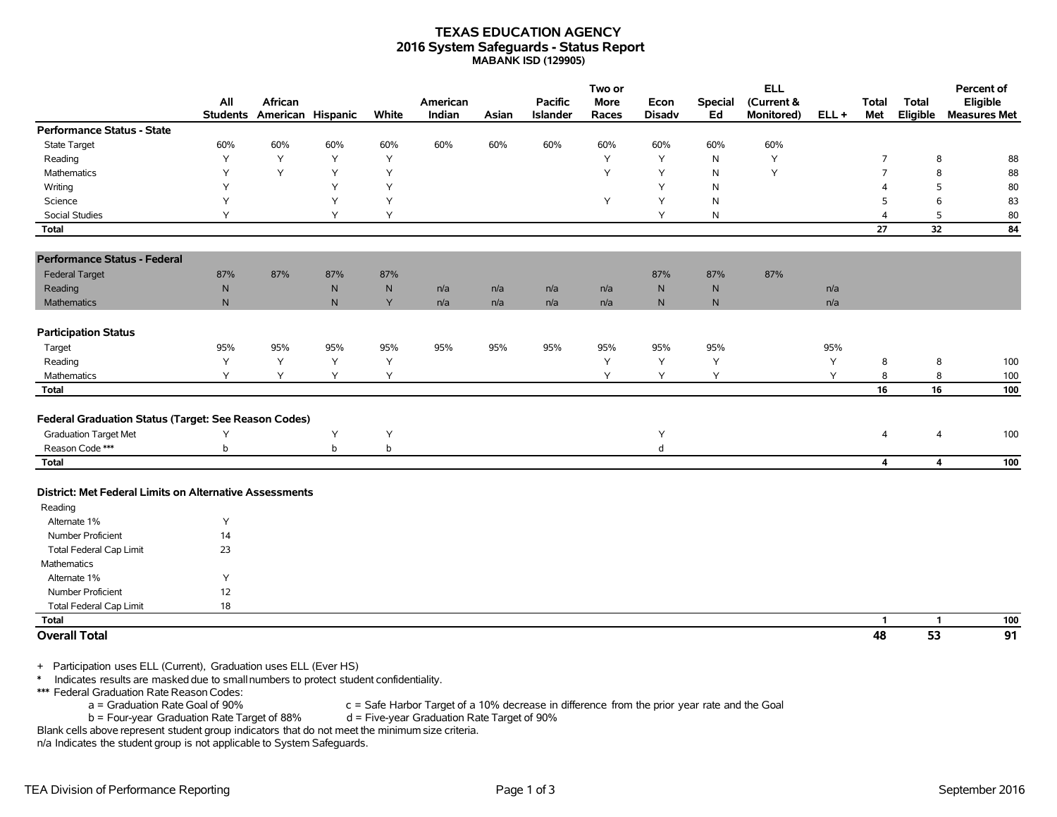### **TEXAS EDUCATION AGENCY 2016 System Safeguards - Status Report MABANK ISD (129905)**

|                                                                                                                                                                                                                        | All<br><b>Students</b> | African<br>American Hispanic |              | White        | American<br>Indian | Asian | <b>Pacific</b><br>Islander | Two or<br>More<br>Races | Econ<br><b>Disadv</b> | <b>Special</b><br>Ed | <b>ELL</b><br>(Current &<br>Monitored) | $ELL +$ | <b>Total</b><br>Met | <b>Total</b><br>Eligible | Percent of<br>Eligible<br><b>Measures Met</b> |
|------------------------------------------------------------------------------------------------------------------------------------------------------------------------------------------------------------------------|------------------------|------------------------------|--------------|--------------|--------------------|-------|----------------------------|-------------------------|-----------------------|----------------------|----------------------------------------|---------|---------------------|--------------------------|-----------------------------------------------|
| <b>Performance Status - State</b>                                                                                                                                                                                      |                        |                              |              |              |                    |       |                            |                         |                       |                      |                                        |         |                     |                          |                                               |
| State Target                                                                                                                                                                                                           | 60%                    | 60%                          | 60%          | 60%          | 60%                | 60%   | 60%                        | 60%                     | 60%                   | 60%                  | 60%                                    |         |                     |                          |                                               |
| Reading                                                                                                                                                                                                                | Y                      | Y                            | Y            | Y            |                    |       |                            | Y                       | Y                     | N                    | Y                                      |         | $\overline{7}$      | 8                        | 88                                            |
| Mathematics                                                                                                                                                                                                            | Y                      | Y                            | Y            | Y            |                    |       |                            | Y                       | Y                     | N                    | Y                                      |         | 7                   | 8                        | 88                                            |
| Writing                                                                                                                                                                                                                | Y                      |                              | Y            | Y            |                    |       |                            |                         | Y                     | N                    |                                        |         | Δ                   | 5                        | 80                                            |
| Science                                                                                                                                                                                                                | Υ                      |                              | Y            | Y            |                    |       |                            | Υ                       | Υ                     | N                    |                                        |         | 5                   | 6                        | 83                                            |
| Social Studies                                                                                                                                                                                                         | Υ                      |                              | Υ            | Y            |                    |       |                            |                         | Υ                     | N                    |                                        |         | 4                   | 5                        | 80                                            |
| <b>Total</b>                                                                                                                                                                                                           |                        |                              |              |              |                    |       |                            |                         |                       |                      |                                        |         | 27                  | 32                       | 84                                            |
| <b>Performance Status - Federal</b>                                                                                                                                                                                    |                        |                              |              |              |                    |       |                            |                         |                       |                      |                                        |         |                     |                          |                                               |
| <b>Federal Target</b>                                                                                                                                                                                                  | 87%                    | 87%                          | 87%          | 87%          |                    |       |                            |                         | 87%                   | 87%                  | 87%                                    |         |                     |                          |                                               |
| Reading                                                                                                                                                                                                                | ${\sf N}$              |                              | $\mathsf{N}$ | $\mathsf{N}$ | n/a                | n/a   | n/a                        | n/a                     | $\mathsf{N}$          | ${\sf N}$            |                                        | n/a     |                     |                          |                                               |
| <b>Mathematics</b>                                                                                                                                                                                                     | $\mathsf{N}$           |                              | $\mathsf{N}$ | Y            | n/a                | n/a   | n/a                        | n/a                     | $\mathsf{N}$          | $\mathsf{N}$         |                                        | n/a     |                     |                          |                                               |
| <b>Participation Status</b>                                                                                                                                                                                            |                        |                              |              |              |                    |       |                            |                         |                       |                      |                                        |         |                     |                          |                                               |
| Target                                                                                                                                                                                                                 | 95%                    | 95%                          | 95%          | 95%          | 95%                | 95%   | 95%                        | 95%                     | 95%                   | 95%                  |                                        | 95%     |                     |                          |                                               |
| Reading                                                                                                                                                                                                                | Y                      | Y                            | Y            | Y            |                    |       |                            | Υ                       | Υ                     | Υ                    |                                        | Υ       | 8                   | 8                        | 100                                           |
| Mathematics                                                                                                                                                                                                            | Y                      | Y                            | Y            | Y            |                    |       |                            | Y                       | Y                     | Y                    |                                        | Y       | 8                   | 8                        | 100                                           |
| <b>Total</b>                                                                                                                                                                                                           |                        |                              |              |              |                    |       |                            |                         |                       |                      |                                        |         | 16                  | 16                       | 100                                           |
|                                                                                                                                                                                                                        |                        |                              |              |              |                    |       |                            |                         |                       |                      |                                        |         |                     |                          |                                               |
| Federal Graduation Status (Target: See Reason Codes)                                                                                                                                                                   |                        |                              |              |              |                    |       |                            |                         |                       |                      |                                        |         |                     |                          |                                               |
| <b>Graduation Target Met</b>                                                                                                                                                                                           | Υ                      |                              | Y            | Y            |                    |       |                            |                         | Y                     |                      |                                        |         | 4                   | $\overline{4}$           | 100                                           |
| Reason Code ***                                                                                                                                                                                                        | b                      |                              | b            | b            |                    |       |                            |                         | d                     |                      |                                        |         |                     |                          |                                               |
| <b>Total</b>                                                                                                                                                                                                           |                        |                              |              |              |                    |       |                            |                         |                       |                      |                                        |         | 4                   | $\overline{\mathbf{4}}$  | 100                                           |
| District: Met Federal Limits on Alternative Assessments                                                                                                                                                                |                        |                              |              |              |                    |       |                            |                         |                       |                      |                                        |         |                     |                          |                                               |
| Reading                                                                                                                                                                                                                |                        |                              |              |              |                    |       |                            |                         |                       |                      |                                        |         |                     |                          |                                               |
| Alternate 1%                                                                                                                                                                                                           | Y                      |                              |              |              |                    |       |                            |                         |                       |                      |                                        |         |                     |                          |                                               |
| Number Proficient                                                                                                                                                                                                      | 14                     |                              |              |              |                    |       |                            |                         |                       |                      |                                        |         |                     |                          |                                               |
| <b>Total Federal Cap Limit</b>                                                                                                                                                                                         | 23                     |                              |              |              |                    |       |                            |                         |                       |                      |                                        |         |                     |                          |                                               |
| <b>Mathematics</b>                                                                                                                                                                                                     |                        |                              |              |              |                    |       |                            |                         |                       |                      |                                        |         |                     |                          |                                               |
| Alternate 1%                                                                                                                                                                                                           | Y                      |                              |              |              |                    |       |                            |                         |                       |                      |                                        |         |                     |                          |                                               |
| <b>Number Proficient</b>                                                                                                                                                                                               | 12                     |                              |              |              |                    |       |                            |                         |                       |                      |                                        |         |                     |                          |                                               |
| <b>Total Federal Cap Limit</b>                                                                                                                                                                                         | 18                     |                              |              |              |                    |       |                            |                         |                       |                      |                                        |         |                     |                          |                                               |
| <b>Total</b>                                                                                                                                                                                                           |                        |                              |              |              |                    |       |                            |                         |                       |                      |                                        |         | $\mathbf{1}$        | $\mathbf{1}$             | 100                                           |
| <b>Overall Total</b>                                                                                                                                                                                                   |                        |                              |              |              |                    |       |                            |                         |                       |                      |                                        |         | 48                  | 53                       | 91                                            |
| Participation uses ELL (Current), Graduation uses ELL (Ever HS)<br>$+$<br>Indicates results are masked due to small numbers to protect student confidentiality.<br>$\ast$<br>*** Federal Graduation Rate Reason Codes: |                        |                              |              |              |                    |       |                            |                         |                       |                      |                                        |         |                     |                          |                                               |

a = Graduation Rate Goal of 90% c = Safe Harbor Target of a 10% decrease in difference from the prior year rate and the Goal<br>b = Four-year Graduation Rate Target of 88% d = Five-year Graduation Rate Target of 90%

 $b$  = Four-year Graduation Rate Target of 88%

Blank cells above represent student group indicators that do not meet the minimum size criteria.

n/a Indicates the student group is not applicable to System Safeguards.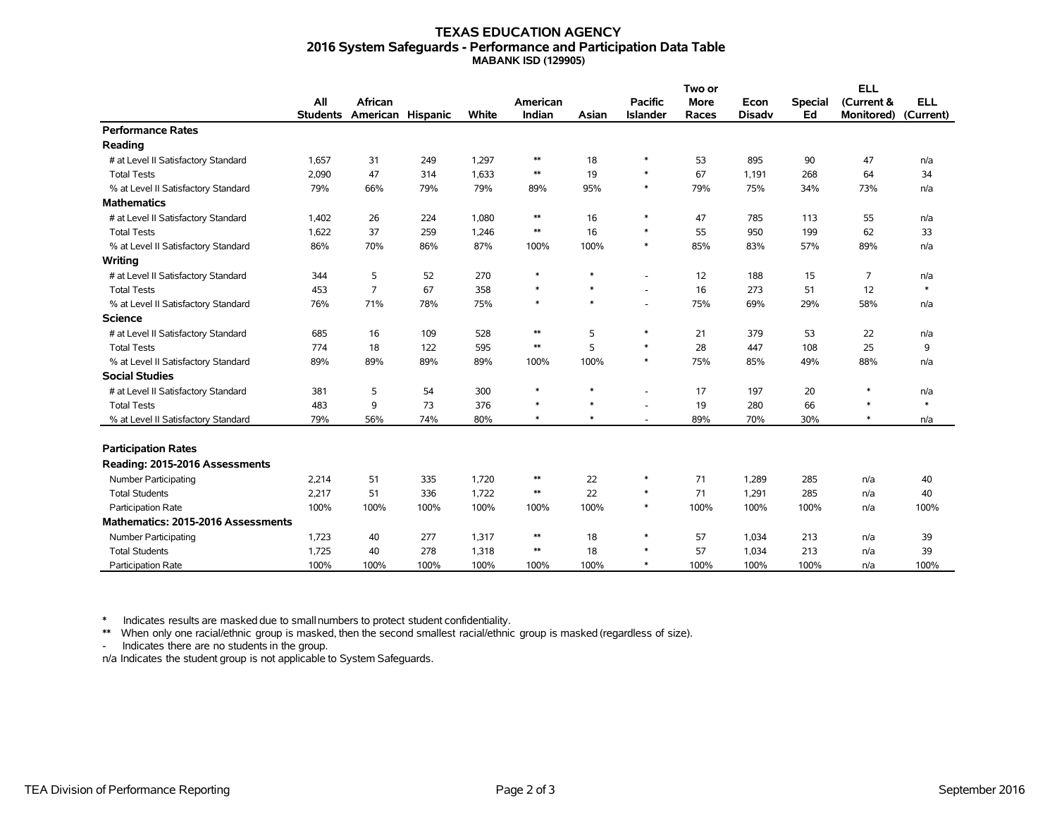### **TEXAS EDUCATION AGENCY 2016 System Safeguards - Performance and Participation Data Table MABANK ISD (129905)**

|                                     |                 |                   |      |       | American<br>Indian |        |                          | Two or      |               |                | <b>ELL</b>        |                         |
|-------------------------------------|-----------------|-------------------|------|-------|--------------------|--------|--------------------------|-------------|---------------|----------------|-------------------|-------------------------|
|                                     | All             | <b>African</b>    |      |       |                    |        | <b>Pacific</b>           | <b>More</b> | Econ          | <b>Special</b> | (Current &        | <b>ELL</b><br>(Current) |
|                                     | <b>Students</b> | American Hispanic |      | White |                    | Asian  | <b>Islander</b>          | Races       | <b>Disadv</b> | Ed             | <b>Monitored)</b> |                         |
| <b>Performance Rates</b>            |                 |                   |      |       |                    |        |                          |             |               |                |                   |                         |
| Reading                             |                 |                   |      |       |                    |        |                          |             |               |                |                   |                         |
| # at Level II Satisfactory Standard | 1,657           | 31                | 249  | 1,297 | $\ast\ast$         | 18     | $\ast$                   | 53          | 895           | 90             | 47                | n/a                     |
| <b>Total Tests</b>                  | 2,090           | 47                | 314  | 1,633 | $\ast\ast$         | 19     | $\ast$                   | 67          | 1,191         | 268            | 64                | 34                      |
| % at Level II Satisfactory Standard | 79%             | 66%               | 79%  | 79%   | 89%                | 95%    | $\ast$                   | 79%         | 75%           | 34%            | 73%               | n/a                     |
| <b>Mathematics</b>                  |                 |                   |      |       |                    |        |                          |             |               |                |                   |                         |
| # at Level II Satisfactory Standard | 1,402           | 26                | 224  | 1,080 | $\ast\ast$         | 16     | $\ast$                   | 47          | 785           | 113            | 55                | n/a                     |
| <b>Total Tests</b>                  | 1,622           | 37                | 259  | 1,246 | $\ast\ast$         | 16     | $\ast$                   | 55          | 950           | 199            | 62                | 33                      |
| % at Level II Satisfactory Standard | 86%             | 70%               | 86%  | 87%   | 100%               | 100%   | $\ast$                   | 85%         | 83%           | 57%            | 89%               | n/a                     |
| Writing                             |                 |                   |      |       |                    |        |                          |             |               |                |                   |                         |
| # at Level II Satisfactory Standard | 344             | 5                 | 52   | 270   | $\ast$             | $\ast$ | ٠                        | 12          | 188           | 15             | 7                 | n/a                     |
| <b>Total Tests</b>                  | 453             | $\overline{7}$    | 67   | 358   | $\ast$             | $\ast$ | $\overline{\phantom{a}}$ | 16          | 273           | 51             | 12                | $\ast$                  |
| % at Level II Satisfactory Standard | 76%             | 71%               | 78%  | 75%   | $\ast$             | $\ast$ | ٠                        | 75%         | 69%           | 29%            | 58%               | n/a                     |
| <b>Science</b>                      |                 |                   |      |       |                    |        |                          |             |               |                |                   |                         |
| # at Level II Satisfactory Standard | 685             | 16                | 109  | 528   | $\ast\ast$         | 5      | $\ast$                   | 21          | 379           | 53             | 22                | n/a                     |
| <b>Total Tests</b>                  | 774             | 18                | 122  | 595   | $\ast\ast$         | 5      | $\ast$                   | 28          | 447           | 108            | 25                | 9                       |
| % at Level II Satisfactory Standard | 89%             | 89%               | 89%  | 89%   | 100%               | 100%   | $\ast$                   | 75%         | 85%           | 49%            | 88%               | n/a                     |
| <b>Social Studies</b>               |                 |                   |      |       |                    |        |                          |             |               |                |                   |                         |
| # at Level II Satisfactory Standard | 381             | 5                 | 54   | 300   | $\ast$             | $\ast$ |                          | 17          | 197           | 20             | $\ast$            | n/a                     |
| <b>Total Tests</b>                  | 483             | 9                 | 73   | 376   | $\ast$             | $\ast$ |                          | 19          | 280           | 66             | $\ast$            | $\ast$                  |
| % at Level II Satisfactory Standard | 79%             | 56%               | 74%  | 80%   | $\ast$             | $\ast$ | ٠                        | 89%         | 70%           | 30%            | $\ast$            | n/a                     |
|                                     |                 |                   |      |       |                    |        |                          |             |               |                |                   |                         |
| <b>Participation Rates</b>          |                 |                   |      |       |                    |        |                          |             |               |                |                   |                         |
| Reading: 2015-2016 Assessments      |                 |                   |      |       |                    |        |                          |             |               |                |                   |                         |
| <b>Number Participating</b>         | 2,214           | 51                | 335  | 1,720 | $\ast\ast$         | 22     | $\ast$                   | 71          | 1,289         | 285            | n/a               | 40                      |
| <b>Total Students</b>               | 2,217           | 51                | 336  | 1,722 | $\ast\ast$         | 22     | $\ast$                   | 71          | 1,291         | 285            | n/a               | 40                      |
| Participation Rate                  | 100%            | 100%              | 100% | 100%  | 100%               | 100%   | $\ast$                   | 100%        | 100%          | 100%           | n/a               | 100%                    |
| Mathematics: 2015-2016 Assessments  |                 |                   |      |       |                    |        |                          |             |               |                |                   |                         |
| Number Participating                | 1,723           | 40                | 277  | 1,317 | $\ast\ast$         | 18     | $\ast$                   | 57          | 1,034         | 213            | n/a               | 39                      |
| <b>Total Students</b>               | 1,725           | 40                | 278  | 1,318 | $\ast\ast$         | 18     | $\ast$                   | 57          | 1,034         | 213            | n/a               | 39                      |
| Participation Rate                  | 100%            | 100%              | 100% | 100%  | 100%               | 100%   | $\ast$                   | 100%        | 100%          | 100%           | n/a               | 100%                    |

\* Indicates results are masked due to smallnumbers to protect student confidentiality.

\*\* When only one racial/ethnic group is masked, then the second smallest racial/ethnic group is masked (regardless of size).

- Indicates there are no students in the group.

n/a Indicates the student group is not applicable to System Safeguards.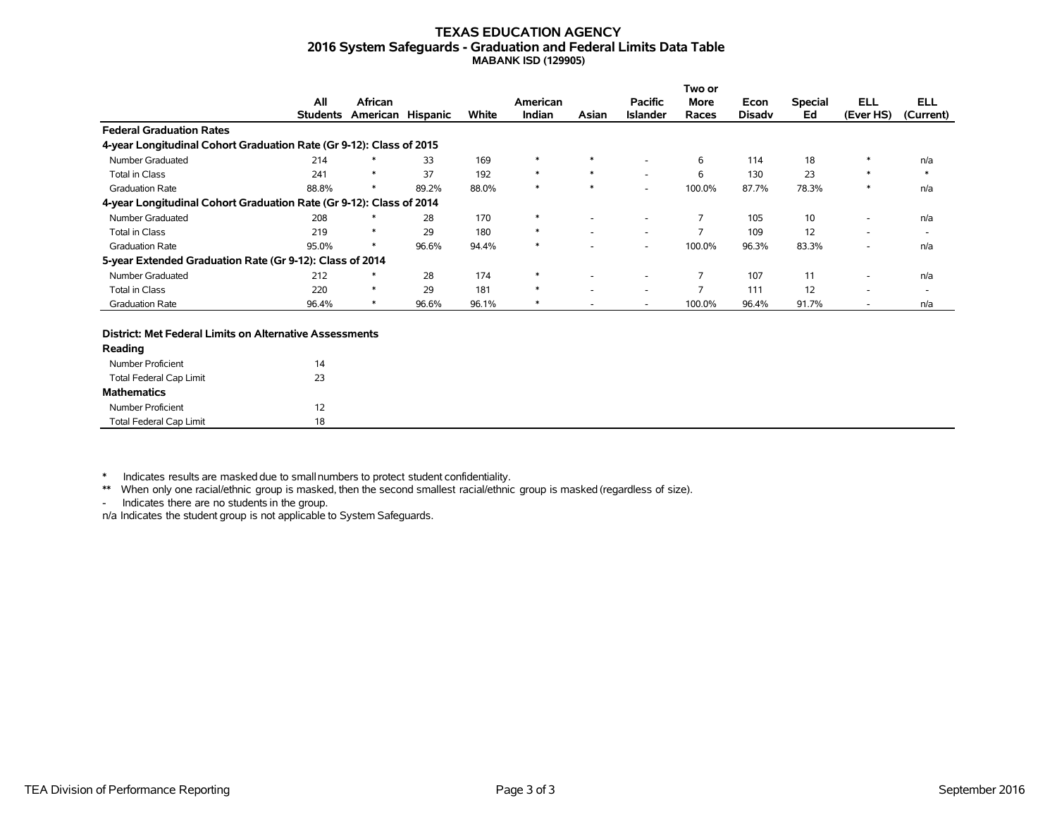### **TEXAS EDUCATION AGENCY 2016 System Safeguards - Graduation and Federal Limits Data Table MABANK ISD (129905)**

|                                                                     |                 |                   |       |       |          |        |                 | Two or                   |               |                |            |                          |
|---------------------------------------------------------------------|-----------------|-------------------|-------|-------|----------|--------|-----------------|--------------------------|---------------|----------------|------------|--------------------------|
|                                                                     | All             | African           |       |       | American |        | <b>Pacific</b>  | More                     | Econ          | <b>Special</b> | <b>ELL</b> | <b>ELL</b>               |
|                                                                     | <b>Students</b> | American Hispanic |       | White | Indian   | Asian  | <b>Islander</b> | Races                    | <b>Disady</b> | Ed             | (Ever HS)  | (Current)                |
| <b>Federal Graduation Rates</b>                                     |                 |                   |       |       |          |        |                 |                          |               |                |            |                          |
| 4-year Longitudinal Cohort Graduation Rate (Gr 9-12): Class of 2015 |                 |                   |       |       |          |        |                 |                          |               |                |            |                          |
| Number Graduated                                                    | 214             | $\ast$            | 33    | 169   | $\ast$   | $\ast$ |                 | 6                        | 114           | 18             |            | n/a                      |
| <b>Total in Class</b>                                               | 241             | $\ast$            | 37    | 192   | $\ast$   | $\ast$ |                 | 6                        | 130           | 23             |            | $\ast$                   |
| <b>Graduation Rate</b>                                              | 88.8%           |                   | 89.2% | 88.0% | $\ast$   |        | ۰.              | 100.0%                   | 87.7%         | 78.3%          | $\ast$     | n/a                      |
| 4-year Longitudinal Cohort Graduation Rate (Gr 9-12): Class of 2014 |                 |                   |       |       |          |        |                 |                          |               |                |            |                          |
| Number Graduated                                                    | 208             |                   | 28    | 170   | $\ast$   |        |                 |                          | 105           | 10             | -          | n/a                      |
| Total in Class                                                      | 219             | ∗                 | 29    | 180   | $\ast$   |        |                 |                          | 109           | 12             | -          | $\overline{\phantom{a}}$ |
| <b>Graduation Rate</b>                                              | 95.0%           | $\ast$            | 96.6% | 94.4% | $\ast$   |        |                 | 100.0%                   | 96.3%         | 83.3%          | ۰          | n/a                      |
| 5-year Extended Graduation Rate (Gr 9-12): Class of 2014            |                 |                   |       |       |          |        |                 |                          |               |                |            |                          |
| Number Graduated                                                    | 212             | $\ast$            | 28    | 174   | $\ast$   |        |                 |                          | 107           | 11             | -          | n/a                      |
| <b>Total in Class</b>                                               | 220             | $\ast$            | 29    | 181   | $\ast$   |        |                 | $\overline{\phantom{a}}$ | 111           | 12             | ۰          | $\overline{\phantom{a}}$ |
| <b>Graduation Rate</b>                                              | 96.4%           |                   | 96.6% | 96.1% | ∗        |        |                 | 100.0%                   | 96.4%         | 91.7%          | ۰          | n/a                      |

#### **District: Met Federal Limits on Alternative Assessments**

| Reading                        |    |
|--------------------------------|----|
| Number Proficient              | 14 |
| Total Federal Cap Limit        | 23 |
| <b>Mathematics</b>             |    |
| Number Proficient              | 12 |
| <b>Total Federal Cap Limit</b> | 18 |

\* Indicates results are masked due to smallnumbers to protect student confidentiality.

\*\* When only one racial/ethnic group is masked, then the second smallest racial/ethnic group is masked (regardless of size).

- Indicates there are no students in the group.

n/a Indicates the student group is not applicable to System Safeguards.